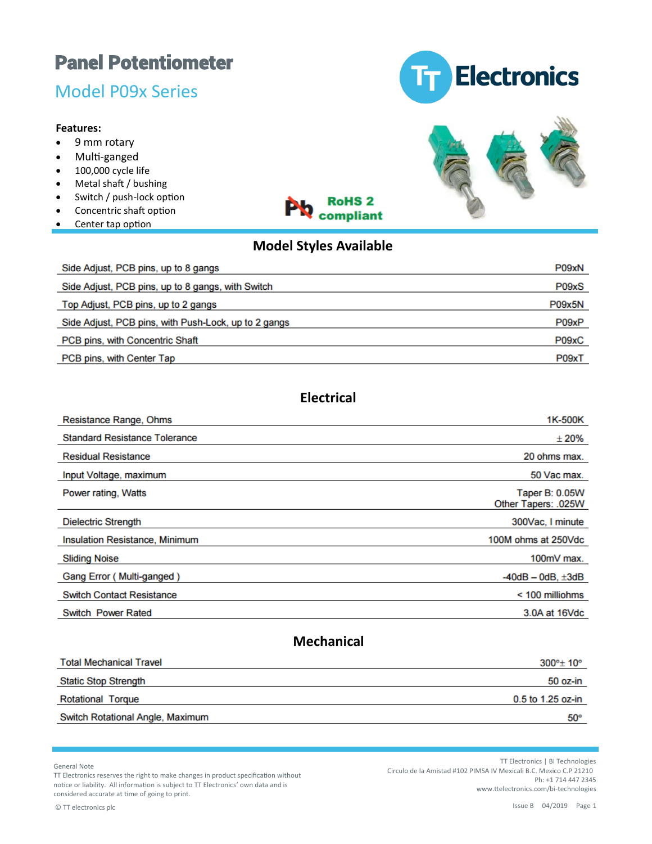## Model P09x Series

#### **Features:**

- 9 mm rotary
- Multi-ganged
- 100,000 cycle life
- Metal shaft / bushing
- Switch / push-lock option
- Concentric shaft option
- Center tap option





## **Model Styles Available**

**RoHS<sub>2</sub>** compliant

| Side Adjust, PCB pins, up to 8 gangs                 | P09xN         |
|------------------------------------------------------|---------------|
| Side Adjust, PCB pins, up to 8 gangs, with Switch    | P09xS         |
| Top Adjust, PCB pins, up to 2 gangs                  | <b>P09x5N</b> |
| Side Adjust, PCB pins, with Push-Lock, up to 2 gangs | P09xP         |
| PCB pins, with Concentric Shaft                      | P09xC         |
| PCB pins, with Center Tap                            | P09xT         |

## **Electrical**

| Resistance Range, Ohms                | 1K-500K                                      |
|---------------------------------------|----------------------------------------------|
| <b>Standard Resistance Tolerance</b>  | ±20%                                         |
| <b>Residual Resistance</b>            | 20 ohms max.                                 |
| Input Voltage, maximum                | 50 Vac max.                                  |
| Power rating, Watts                   | <b>Taper B: 0.05W</b><br>Other Tapers: .025W |
| <b>Dielectric Strength</b>            | 300Vac, I minute                             |
| <b>Insulation Resistance, Minimum</b> | 100M ohms at 250Vdc                          |
| <b>Sliding Noise</b>                  | 100mV max.                                   |
| Gang Error (Multi-ganged)             | $-40dB - 0dB$ , $\pm 3dB$                    |
| <b>Switch Contact Resistance</b>      | < 100 milliohms                              |
| <b>Switch Power Rated</b>             | 3.0A at 16Vdc                                |
|                                       |                                              |

## **Mechanical**

| <b>Total Mechanical Travel</b>   | $300^{\circ}$ ± 10° |
|----------------------------------|---------------------|
| <b>Static Stop Strength</b>      | 50 oz-in            |
| <b>Rotational Torque</b>         | $0.5$ to 1.25 oz-in |
| Switch Rotational Angle, Maximum | $50^\circ$          |
|                                  |                     |

General Note

TT Electronics reserves the right to make changes in product specification without notice or liability. All information is subject to TT Electronics' own data and is considered accurate at time of going to print.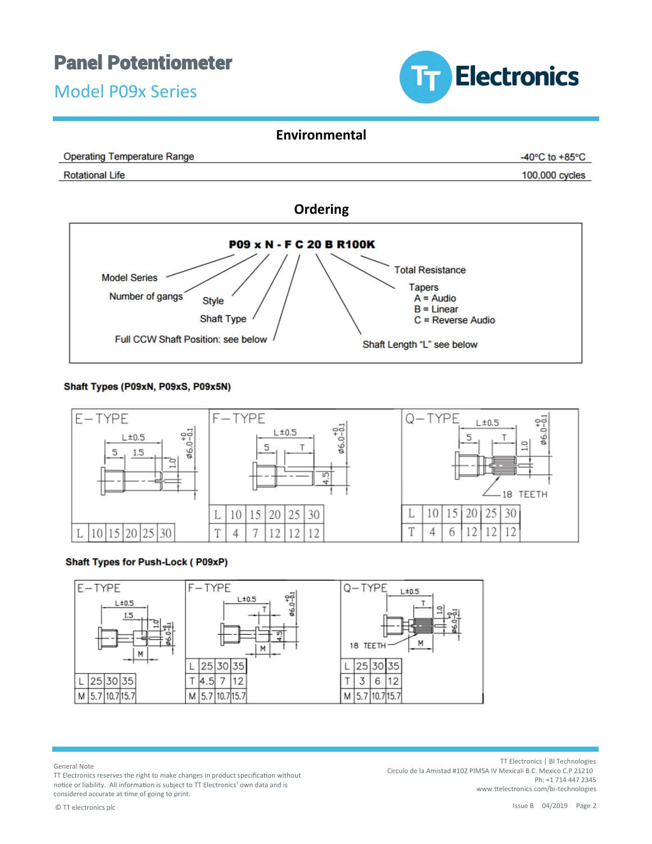Model P09x Series



#### **Environmental**





#### Shaft Types (P09xN, P09xS, P09x5N)



#### **Shaft Types for Push-Lock (P09xP)**



General Note

TT Electronics reserves the right to make changes in product specification without notice or liability. All information is subject to TT Electronics' own data and is considered accurate at time of going to print.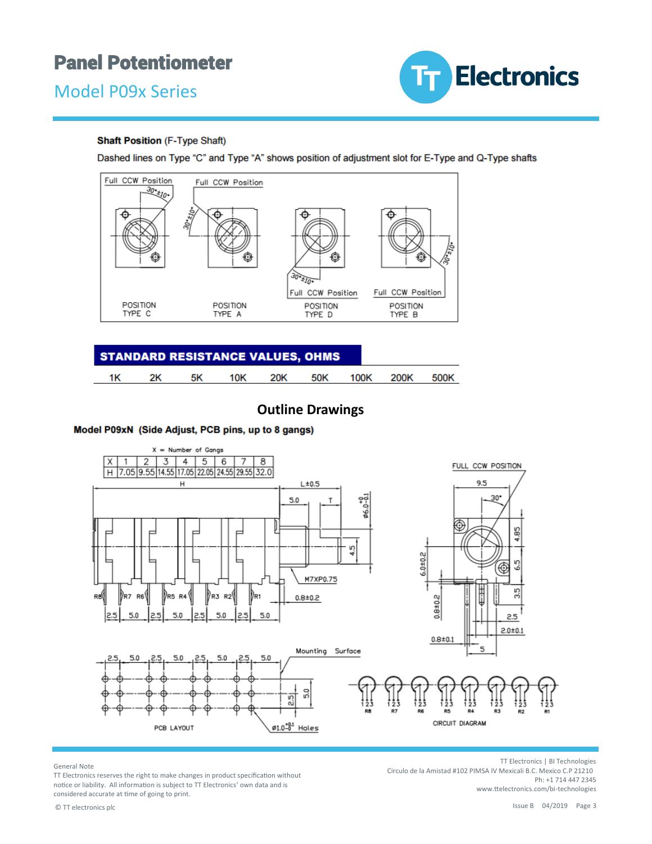



#### **Shaft Position (F-Type Shaft)**

Dashed lines on Type "C" and Type "A" shows position of adjustment slot for E-Type and Q-Type shafts



| <b>STANDARD RESISTANCE VALUES, OHMS</b> |    |    |     |     |     |      |      |      |
|-----------------------------------------|----|----|-----|-----|-----|------|------|------|
| 1Κ                                      | 2K | 5K | 10K | 20K | 50K | 100K | 200K | 500K |

### **Outline Drawings**

#### Model P09xN (Side Adjust, PCB pins, up to 8 gangs)



General Note

TT Electronics reserves the right to make changes in product specification without notice or liability. All information is subject to TT Electronics' own data and is considered accurate at time of going to print.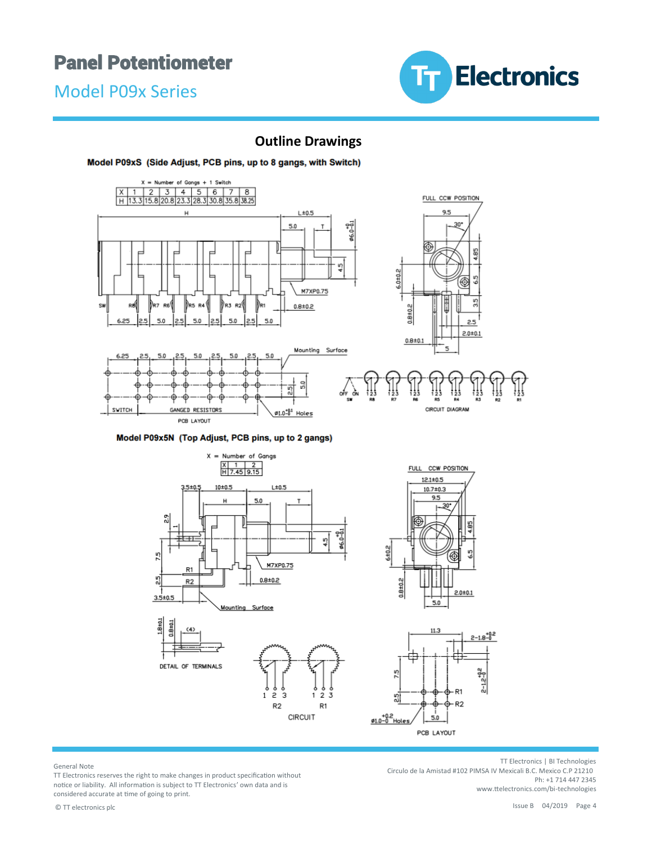Model P09x Series



## **Outline Drawings**

#### Model P09xS (Side Adjust, PCB pins, up to 8 gangs, with Switch)



Model P09x5N (Top Adjust, PCB pins, up to 2 gangs)



General Note

TT Electronics reserves the right to make changes in product specification without notice or liability. All information is subject to TT Electronics' own data and is considered accurate at time of going to print.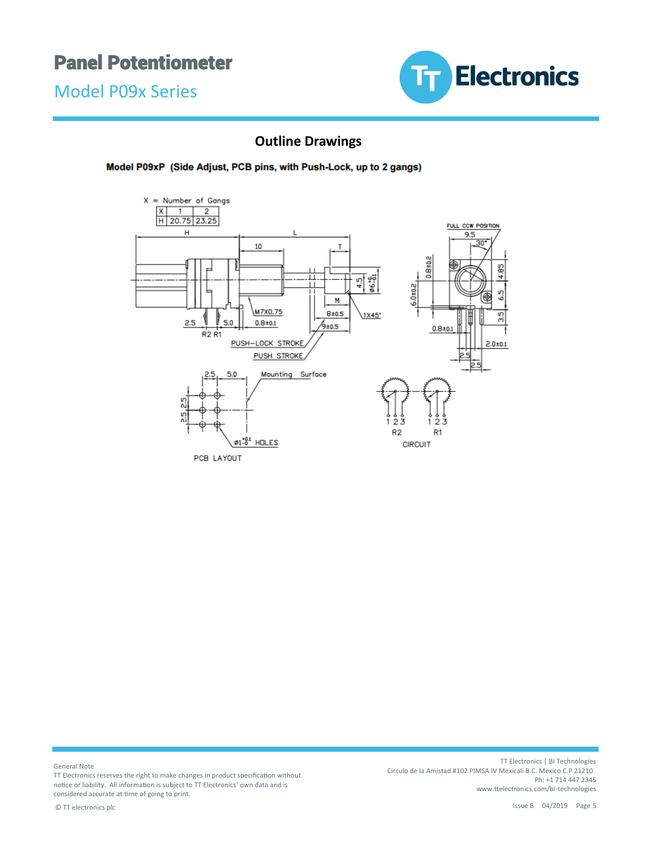Model P09x Series



## **Outline Drawings**

Model P09xP (Side Adjust, PCB pins, with Push-Lock, up to 2 gangs)



General Note

TT Electronics reserves the right to make changes in product specification without notice or liability. All information is subject to TT Electronics' own data and is considered accurate at time of going to print.

TT Electronics | BI Technologies Circulo de la Amistad #102 PIMSA IV Mexicali B.C. Mexico C.P 21210 Ph: +1 714 447 2345 www.ttelectronics.com/bi-technologies

© TT electronics plc Issue B 04/2019 Page 5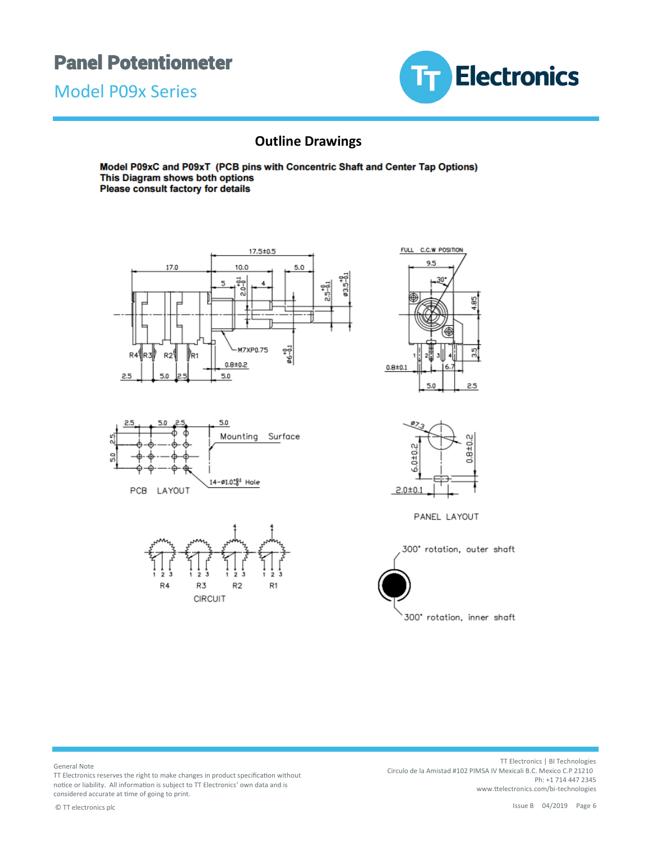Model P09x Series



## **Outline Drawings**

Model P09xC and P09xT (PCB pins with Concentric Shaft and Center Tap Options) This Diagram shows both options Please consult factory for details







FULL C.C.W POSITION 95 85 3.5  $0.8 + 0.1$  $6.7$  $5.0$  $2.5$ 



PANEL LAYOUT

300° rotation, outer shaft 300° rotation, inner shaft

General Note

TT Electronics reserves the right to make changes in product specification without notice or liability. All information is subject to TT Electronics' own data and is considered accurate at time of going to print.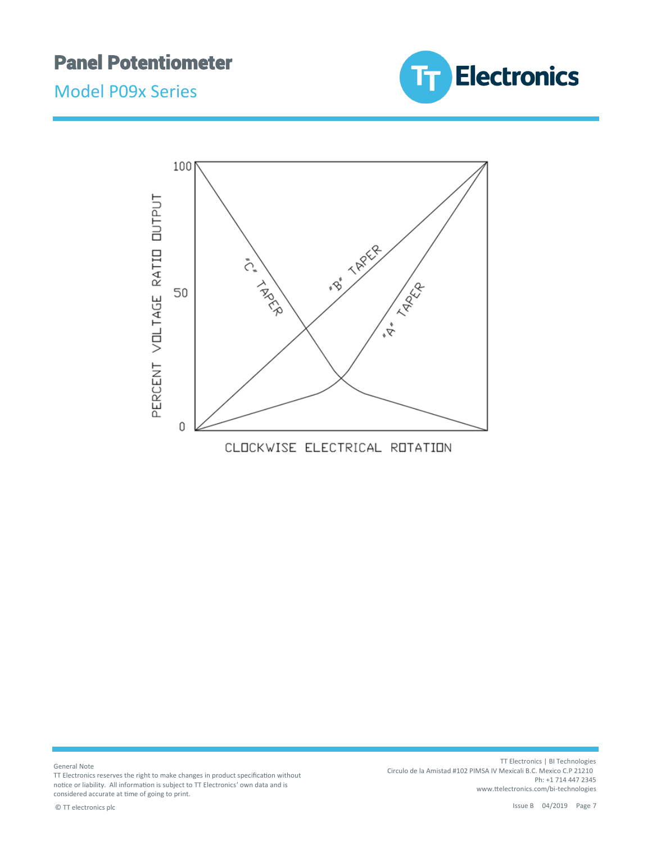





General Note

TT Electronics reserves the right to make changes in product specification without notice or liability. All information is subject to TT Electronics' own data and is considered accurate at time of going to print.